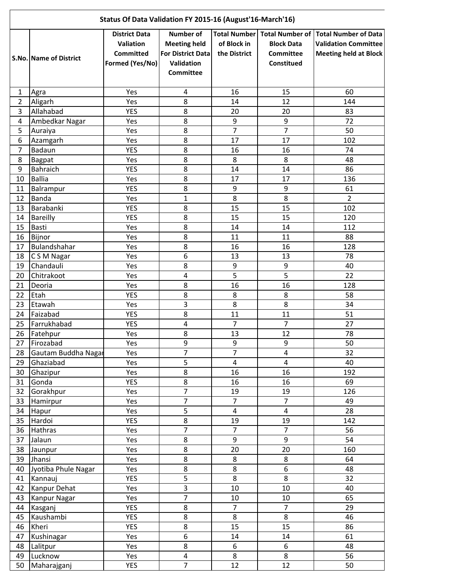| Status Of Data Validation FY 2015-16 (August'16-March'16) |                               |                                                                          |                                                                                                       |                             |                                                     |                                                                                                                  |  |  |  |  |
|-----------------------------------------------------------|-------------------------------|--------------------------------------------------------------------------|-------------------------------------------------------------------------------------------------------|-----------------------------|-----------------------------------------------------|------------------------------------------------------------------------------------------------------------------|--|--|--|--|
|                                                           | <b>S.No. Name of District</b> | <b>District Data</b><br>Valiation<br><b>Committed</b><br>Formed (Yes/No) | <b>Number of</b><br><b>Meeting held</b><br><b>For District Data</b><br>Validation<br><b>Committee</b> | of Block in<br>the District | <b>Block Data</b><br><b>Committee</b><br>Constitued | Total Number Total Number of Total Number of Data<br><b>Validation Committee</b><br><b>Meeting held at Block</b> |  |  |  |  |
| 1                                                         | Agra                          | Yes                                                                      | 4                                                                                                     | 16                          | 15                                                  | 60                                                                                                               |  |  |  |  |
| $\overline{2}$                                            | Aligarh                       | Yes                                                                      | 8                                                                                                     | 14                          | 12                                                  | 144                                                                                                              |  |  |  |  |
| 3                                                         | Allahabad                     | <b>YES</b>                                                               | 8                                                                                                     | 20                          | 20                                                  | 83                                                                                                               |  |  |  |  |
| 4                                                         | Ambedkar Nagar                | Yes                                                                      | 8                                                                                                     | 9                           | 9                                                   | 72                                                                                                               |  |  |  |  |
| 5                                                         | Auraiya                       | Yes                                                                      | 8                                                                                                     | $\overline{7}$              | $\overline{7}$                                      | 50                                                                                                               |  |  |  |  |
| 6                                                         | Azamgarh                      | Yes                                                                      | 8                                                                                                     | 17                          | 17                                                  | 102                                                                                                              |  |  |  |  |
| $\overline{7}$                                            | Badaun                        | <b>YES</b>                                                               | 8                                                                                                     | 16                          | 16                                                  | 74                                                                                                               |  |  |  |  |
| 8                                                         | <b>Bagpat</b>                 | Yes                                                                      | 8                                                                                                     | 8                           | 8                                                   | 48                                                                                                               |  |  |  |  |
| 9                                                         | <b>Bahraich</b>               | <b>YES</b>                                                               | 8                                                                                                     | 14                          | 14                                                  | 86                                                                                                               |  |  |  |  |
| 10                                                        | <b>Ballia</b>                 | Yes                                                                      | 8                                                                                                     | 17                          | 17                                                  | 136                                                                                                              |  |  |  |  |
| 11                                                        | Balrampur                     | <b>YES</b>                                                               | 8                                                                                                     | $\boldsymbol{9}$            | 9                                                   | 61                                                                                                               |  |  |  |  |
| 12                                                        | Banda                         | Yes                                                                      | $\mathbf{1}$                                                                                          | 8                           | 8                                                   | $\overline{2}$                                                                                                   |  |  |  |  |
| 13                                                        | Barabanki                     | <b>YES</b>                                                               | 8                                                                                                     | 15                          | 15                                                  | 102                                                                                                              |  |  |  |  |
| 14                                                        | Bareilly                      | <b>YES</b>                                                               | $\overline{8}$                                                                                        | 15                          | 15                                                  | 120                                                                                                              |  |  |  |  |
| 15                                                        | <b>Basti</b>                  | Yes                                                                      | 8                                                                                                     | 14                          | 14                                                  | 112                                                                                                              |  |  |  |  |
| 16                                                        | Bijnor                        | Yes                                                                      | 8                                                                                                     | 11                          | 11                                                  | 88                                                                                                               |  |  |  |  |
| 17                                                        | Bulandshahar                  | Yes                                                                      | 8                                                                                                     | 16                          | 16                                                  | 128                                                                                                              |  |  |  |  |
| 18                                                        | C S M Nagar                   | Yes                                                                      | 6                                                                                                     | 13                          | 13                                                  | 78                                                                                                               |  |  |  |  |
| 19                                                        | Chandauli                     | Yes                                                                      | 8                                                                                                     | $9\,$                       | 9                                                   | 40                                                                                                               |  |  |  |  |
| 20                                                        | Chitrakoot                    | Yes                                                                      | $\overline{\mathbf{4}}$                                                                               | 5                           | 5                                                   | 22                                                                                                               |  |  |  |  |
| 21                                                        | Deoria                        | Yes                                                                      | 8                                                                                                     | 16                          | 16                                                  | 128                                                                                                              |  |  |  |  |
| 22                                                        | Etah                          | <b>YES</b>                                                               | 8                                                                                                     | $\,8\,$                     | 8                                                   | 58                                                                                                               |  |  |  |  |
| 23                                                        | Etawah                        | Yes                                                                      | 3                                                                                                     | 8                           | 8                                                   | 34                                                                                                               |  |  |  |  |
| 24                                                        | Faizabad                      | <b>YES</b>                                                               | 8                                                                                                     | 11                          | 11                                                  | 51                                                                                                               |  |  |  |  |
| 25                                                        | Farrukhabad                   | <b>YES</b>                                                               | $\overline{4}$                                                                                        | $\overline{7}$              | $\overline{7}$                                      | 27                                                                                                               |  |  |  |  |
| 26                                                        | Fatehpur                      | Yes                                                                      | 8<br>q                                                                                                | 13<br>q                     | 12<br>$\mathbf{q}$                                  | 78                                                                                                               |  |  |  |  |
| 27                                                        | Firozabad                     | Yes                                                                      | $\overline{7}$                                                                                        | $\overline{7}$              | $\overline{4}$                                      | 50                                                                                                               |  |  |  |  |
| 28                                                        | Gautam Buddha Nagar           | Yes                                                                      | $\overline{5}$                                                                                        | $\overline{\mathbf{4}}$     | $\overline{\mathbf{4}}$                             | 32                                                                                                               |  |  |  |  |
| 29<br>30                                                  | Ghaziabad<br>Ghazipur         | Yes<br>Yes                                                               | $\overline{8}$                                                                                        | 16                          | $\overline{16}$                                     | 40<br>192                                                                                                        |  |  |  |  |
| 31                                                        | Gonda                         | <b>YES</b>                                                               | $\overline{8}$                                                                                        | 16                          | 16                                                  | 69                                                                                                               |  |  |  |  |
| 32                                                        | Gorakhpur                     | Yes                                                                      | $\overline{7}$                                                                                        | 19                          | 19                                                  | 126                                                                                                              |  |  |  |  |
| 33                                                        | Hamirpur                      | Yes                                                                      | $\overline{7}$                                                                                        | $\overline{7}$              | $\overline{7}$                                      | 49                                                                                                               |  |  |  |  |
| 34                                                        | Hapur                         | Yes                                                                      | 5                                                                                                     | $\overline{\mathbf{4}}$     | $\overline{\mathbf{4}}$                             | 28                                                                                                               |  |  |  |  |
| 35                                                        | Hardoi                        | <b>YES</b>                                                               | $\overline{8}$                                                                                        | 19                          | 19                                                  | 142                                                                                                              |  |  |  |  |
| 36                                                        | Hathras                       | Yes                                                                      | $\overline{7}$                                                                                        | $\overline{7}$              | $\overline{7}$                                      | 56                                                                                                               |  |  |  |  |
| 37                                                        | Jalaun                        | Yes                                                                      | 8                                                                                                     | 9                           | 9                                                   | 54                                                                                                               |  |  |  |  |
| 38                                                        | Jaunpur                       | Yes                                                                      | 8                                                                                                     | 20                          | 20                                                  | 160                                                                                                              |  |  |  |  |
| 39                                                        | Jhansi                        | Yes                                                                      | $\overline{8}$                                                                                        | 8                           | 8                                                   | 64                                                                                                               |  |  |  |  |
| 40                                                        | Jyotiba Phule Nagar           | Yes                                                                      | 8                                                                                                     | 8                           | $\overline{6}$                                      | 48                                                                                                               |  |  |  |  |
| 41                                                        | Kannauj                       | <b>YES</b>                                                               | $\overline{5}$                                                                                        | 8                           | $\overline{8}$                                      | 32                                                                                                               |  |  |  |  |
| 42                                                        | Kanpur Dehat                  | Yes                                                                      | $\overline{3}$                                                                                        | $10\,$                      | 10                                                  | 40                                                                                                               |  |  |  |  |
| 43                                                        | Kanpur Nagar                  | Yes                                                                      | $\overline{7}$                                                                                        | 10                          | 10                                                  | 65                                                                                                               |  |  |  |  |
| 44                                                        | Kasganj                       | <b>YES</b>                                                               | 8                                                                                                     | $\overline{7}$              | $\overline{7}$                                      | 29                                                                                                               |  |  |  |  |
| 45                                                        | Kaushambi                     | <b>YES</b>                                                               | 8                                                                                                     | 8                           | 8                                                   | 46                                                                                                               |  |  |  |  |
| 46                                                        | Kheri                         | <b>YES</b>                                                               | $\overline{8}$                                                                                        | 15                          | 15                                                  | 86                                                                                                               |  |  |  |  |
| 47                                                        | Kushinagar                    | Yes                                                                      | $\overline{6}$                                                                                        | 14                          | 14                                                  | 61                                                                                                               |  |  |  |  |
| 48                                                        | Lalitpur                      | Yes                                                                      | $\overline{8}$                                                                                        | 6                           | 6                                                   | 48                                                                                                               |  |  |  |  |
| 49                                                        | Lucknow                       | Yes                                                                      | 4                                                                                                     | 8                           | 8                                                   | 56                                                                                                               |  |  |  |  |
| 50                                                        | Maharajganj                   | <b>YES</b>                                                               | $\overline{7}$                                                                                        | 12                          | 12                                                  | 50                                                                                                               |  |  |  |  |